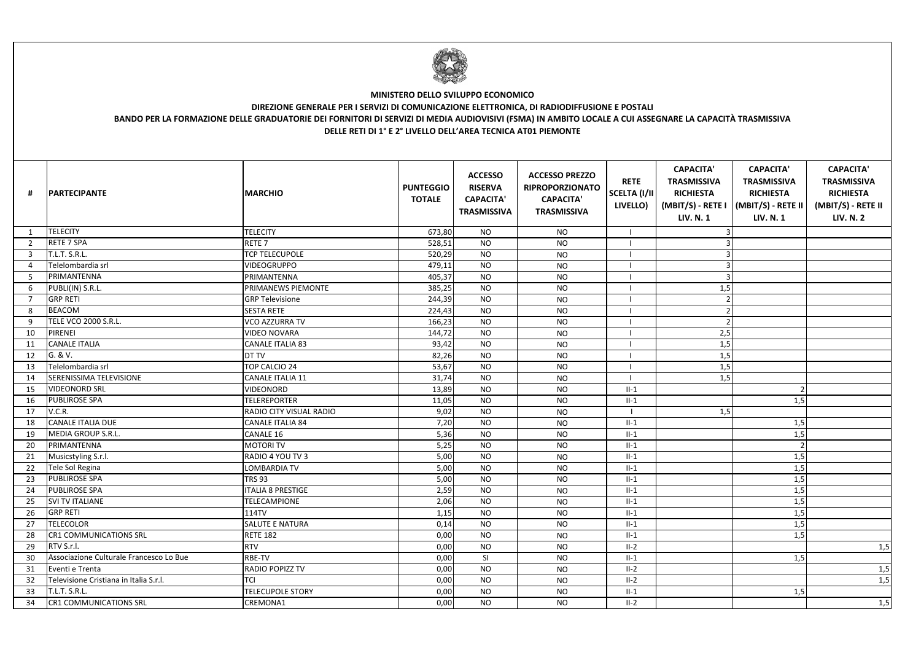| #              | <b>PARTECIPANTE</b>                     | <b>MARCHIO</b>           | <b>PUNTEGGIO</b><br><b>TOTALE</b> | <b>ACCESSO</b><br><b>RISERVA</b><br><b>CAPACITA'</b><br><b>TRASMISSIVA</b> | <b>ACCESSO PREZZO</b><br><b>RIPROPORZIONATO</b><br><b>CAPACITA'</b><br><b>TRASMISSIVA</b> | <b>RETE</b><br>SCELTA (I/II<br>LIVELLO) | <b>CAPACITA'</b><br><b>TRASMISSIVA</b><br><b>RICHIESTA</b><br>(MBIT/S) - RETE I<br><b>LIV. N. 1</b> | <b>CAPACITA'</b><br><b>TRASMISSIVA</b><br><b>RICHIESTA</b><br>(MBIT/S) - RETE II<br><b>LIV. N. 1</b> | <b>CAPACITA'</b><br><b>TRASMISSIVA</b><br><b>RICHIESTA</b><br>(MBIT/S) - RETE II<br><b>LIV. N. 2</b> |
|----------------|-----------------------------------------|--------------------------|-----------------------------------|----------------------------------------------------------------------------|-------------------------------------------------------------------------------------------|-----------------------------------------|-----------------------------------------------------------------------------------------------------|------------------------------------------------------------------------------------------------------|------------------------------------------------------------------------------------------------------|
|                | <b>TELECITY</b>                         | <b>TELECITY</b>          | 673,80                            | <b>NO</b>                                                                  | <b>NO</b>                                                                                 |                                         |                                                                                                     |                                                                                                      |                                                                                                      |
| $\overline{2}$ | <b>RETE 7 SPA</b>                       | RETE <sub>7</sub>        | 528,51                            | <b>NO</b>                                                                  | <b>NO</b>                                                                                 |                                         |                                                                                                     |                                                                                                      |                                                                                                      |
| 3              | T.L.T. S.R.L.                           | <b>TCP TELECUPOLE</b>    | 520,29                            | <b>NO</b>                                                                  | <b>NO</b>                                                                                 |                                         |                                                                                                     |                                                                                                      |                                                                                                      |
| $\overline{a}$ | Telelombardia srl                       | <b>VIDEOGRUPPO</b>       | 479,11                            | <b>NO</b>                                                                  | <b>NO</b>                                                                                 |                                         |                                                                                                     |                                                                                                      |                                                                                                      |
| -5             | PRIMANTENNA                             | PRIMANTENNA              | 405,37                            | <b>NO</b>                                                                  | <b>NO</b>                                                                                 |                                         |                                                                                                     |                                                                                                      |                                                                                                      |
| 6              | PUBLI(IN) S.R.L.                        | PRIMANEWS PIEMONTE       | 385,25                            | <b>NO</b>                                                                  | <b>NO</b>                                                                                 |                                         | 1,5                                                                                                 |                                                                                                      |                                                                                                      |
| $\overline{7}$ | <b>GRP RETI</b>                         | <b>GRP Televisione</b>   | 244,39                            | <b>NO</b>                                                                  | <b>NO</b>                                                                                 |                                         |                                                                                                     |                                                                                                      |                                                                                                      |
| 8              | BEACOM                                  | <b>SESTA RETE</b>        | 224,43                            | <b>NO</b>                                                                  | <b>NO</b>                                                                                 |                                         |                                                                                                     |                                                                                                      |                                                                                                      |
| 9              | TELE VCO 2000 S.R.L.                    | <b>VCO AZZURRA TV</b>    | 166,23                            | <b>NO</b>                                                                  | <b>NO</b>                                                                                 |                                         |                                                                                                     |                                                                                                      |                                                                                                      |
| 10             | PIRENEI                                 | <b>VIDEO NOVARA</b>      | 144,72                            | <b>NO</b>                                                                  | <b>NO</b>                                                                                 |                                         | 2,5                                                                                                 |                                                                                                      |                                                                                                      |
| 11             | <b>CANALE ITALIA</b>                    | CANALE ITALIA 83         | 93,42                             | <b>NO</b>                                                                  | <b>NO</b>                                                                                 |                                         | 1,5                                                                                                 |                                                                                                      |                                                                                                      |
| 12             | G. & V.                                 | DT TV                    | 82,26                             | <b>NO</b>                                                                  | <b>NO</b>                                                                                 |                                         | 1,5                                                                                                 |                                                                                                      |                                                                                                      |
| 13             | Telelombardia srl                       | TOP CALCIO 24            | 53,67                             | <b>NO</b>                                                                  | <b>NO</b>                                                                                 |                                         | 1,5                                                                                                 |                                                                                                      |                                                                                                      |
| 14             | <b>SERENISSIMA TELEVISIONE</b>          | CANALE ITALIA 11         | 31,74                             | <b>NO</b>                                                                  | <b>NO</b>                                                                                 |                                         | 1,5                                                                                                 |                                                                                                      |                                                                                                      |
| 15             | <b>VIDEONORD SRL</b>                    | VIDEONORD                | 13,89                             | <b>NO</b>                                                                  | <b>NO</b>                                                                                 | $II-1$                                  |                                                                                                     |                                                                                                      |                                                                                                      |
| 16             | <b>PUBLIROSE SPA</b>                    | <b>TELEREPORTER</b>      | 11,05                             | <b>NO</b>                                                                  | <b>NO</b>                                                                                 | $II-1$                                  |                                                                                                     | 1,5                                                                                                  |                                                                                                      |
| 17             | V.C.R.                                  | RADIO CITY VISUAL RADIO  | 9,02                              | <b>NO</b>                                                                  | <b>NO</b>                                                                                 |                                         | 1,5                                                                                                 |                                                                                                      |                                                                                                      |
| 18             | <b>CANALE ITALIA DUE</b>                | CANALE ITALIA 84         | 7,20                              | <b>NO</b>                                                                  | <b>NO</b>                                                                                 | $II-1$                                  |                                                                                                     | 1,5                                                                                                  |                                                                                                      |
| 19             | MEDIA GROUP S.R.L.                      | CANALE 16                | 5,36                              | <b>NO</b>                                                                  | <b>NO</b>                                                                                 | $II-1$                                  |                                                                                                     | 1,5                                                                                                  |                                                                                                      |
| 20             | PRIMANTENNA                             | <b>MOTORI TV</b>         | 5,25                              | <b>NO</b>                                                                  | <b>NO</b>                                                                                 | $II-1$                                  |                                                                                                     |                                                                                                      |                                                                                                      |
| 21             | Musicstyling S.r.l.                     | RADIO 4 YOU TV 3         | 5,00                              | <b>NO</b>                                                                  | <b>NO</b>                                                                                 | $II-1$                                  |                                                                                                     | 1,5                                                                                                  |                                                                                                      |
| 22             | Tele Sol Regina                         | LOMBARDIA TV             | 5,00                              | <b>NO</b>                                                                  | <b>NO</b>                                                                                 | $II-1$                                  |                                                                                                     | 1,5                                                                                                  |                                                                                                      |
| 23             | <b>PUBLIROSE SPA</b>                    | <b>TRS 93</b>            | 5,00                              | <b>NO</b>                                                                  | <b>NO</b>                                                                                 | $II-1$                                  |                                                                                                     | 1,5                                                                                                  |                                                                                                      |
| 24             | <b>PUBLIROSE SPA</b>                    | <b>ITALIA 8 PRESTIGE</b> | 2,59                              | <b>NO</b>                                                                  | <b>NO</b>                                                                                 | $II-1$                                  |                                                                                                     | 1,5                                                                                                  |                                                                                                      |
| 25             | <b>SVI TV ITALIANE</b>                  | TELECAMPIONE             | 2,06                              | <b>NO</b>                                                                  | <b>NO</b>                                                                                 | $II-1$                                  |                                                                                                     | 1,5                                                                                                  |                                                                                                      |
| 26             | <b>GRP RETI</b>                         | <b>114TV</b>             | 1,15                              | <b>NO</b>                                                                  | <b>NO</b>                                                                                 | $II-1$                                  |                                                                                                     | 1,5                                                                                                  |                                                                                                      |
| 27             | <b>TELECOLOR</b>                        | SALUTE E NATURA          | 0,14                              | <b>NO</b>                                                                  | <b>NO</b>                                                                                 | $II-1$                                  |                                                                                                     | 1,5                                                                                                  |                                                                                                      |
| 28             | <b>CR1 COMMUNICATIONS SRL</b>           | <b>RETE 182</b>          | 0,00                              | <b>NO</b>                                                                  | <b>NO</b>                                                                                 | $II-1$                                  |                                                                                                     | 1,5                                                                                                  |                                                                                                      |
| 29             | RTV S.r.l.                              | <b>RTV</b>               | 0,00                              | <b>NO</b>                                                                  | <b>NO</b>                                                                                 | $II-2$                                  |                                                                                                     |                                                                                                      | 1,5                                                                                                  |
| 30             | Associazione Culturale Francesco Lo Bue | RBE-TV                   | 0,00                              | SI                                                                         | <b>NO</b>                                                                                 | $II-1$                                  |                                                                                                     | 1,5                                                                                                  |                                                                                                      |
| 31             | Eventi e Trenta                         | RADIO POPIZZ TV          | 0,00                              | <b>NO</b>                                                                  | <b>NO</b>                                                                                 | $II-2$                                  |                                                                                                     |                                                                                                      | 1,5                                                                                                  |
| 32             | Televisione Cristiana in Italia S.r.l.  | <b>TCI</b>               | 0,00                              | <b>NO</b>                                                                  | <b>NO</b>                                                                                 | $II-2$                                  |                                                                                                     |                                                                                                      | 1,5                                                                                                  |
| 33             | T.L.T. S.R.L.                           | <b>TELECUPOLE STORY</b>  | 0,00                              | <b>NO</b>                                                                  | <b>NO</b>                                                                                 | $II-1$                                  |                                                                                                     | 1,5                                                                                                  |                                                                                                      |
| 34             | <b>CR1 COMMUNICATIONS SRL</b>           | CREMONA1                 | 0,00                              | <b>NO</b>                                                                  | <b>NO</b>                                                                                 | $II-2$                                  |                                                                                                     |                                                                                                      | 1,5                                                                                                  |



## **MINISTERO DELLO SVILUPPO ECONOMICO**

## **DIREZIONE GENERALE PER I SERVIZI DI COMUNICAZIONE ELETTRONICA, DI RADIODIFFUSIONE E POSTALI BANDO PER LA FORMAZIONE DELLE GRADUATORIE DEI FORNITORI DI SERVIZI DI MEDIA AUDIOVISIVI (FSMA) IN AMBITO LOCALE A CUI ASSEGNARE LA CAPACITÀ TRASMISSIVA DELLE RETI DI 1° E 2° LIVELLO DELL'AREA TECNICA AT01 PIEMONTE**